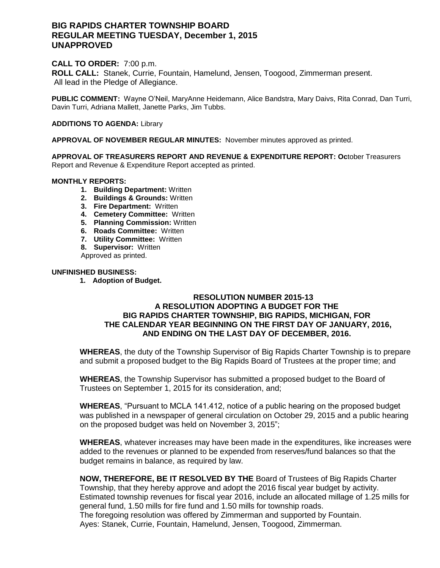# **BIG RAPIDS CHARTER TOWNSHIP BOARD REGULAR MEETING TUESDAY, December 1, 2015 UNAPPROVED**

## **CALL TO ORDER:** 7:00 p.m.

**ROLL CALL:** Stanek, Currie, Fountain, Hamelund, Jensen, Toogood, Zimmerman present. All lead in the Pledge of Allegiance.

**PUBLIC COMMENT:** Wayne O'Neil, MaryAnne Heidemann, Alice Bandstra, Mary Daivs, Rita Conrad, Dan Turri, Davin Turri, Adriana Mallett, Janette Parks, Jim Tubbs.

### **ADDITIONS TO AGENDA:** Library

**APPROVAL OF NOVEMBER REGULAR MINUTES:** November minutes approved as printed.

**APPROVAL OF TREASURERS REPORT AND REVENUE & EXPENDITURE REPORT: Oc**tober Treasurers Report and Revenue & Expenditure Report accepted as printed.

### **MONTHLY REPORTS:**

- **1. Building Department:** Written
- **2. Buildings & Grounds:** Written
- **3. Fire Department:** Written
- **4. Cemetery Committee:** Written
- **5. Planning Commission:** Written
- **6. Roads Committee:** Written
- **7. Utility Committee:** Written
- **8. Supervisor:** Written

Approved as printed.

### **UNFINISHED BUSINESS:**

**1. Adoption of Budget.** 

# **RESOLUTION NUMBER 2015-13 A RESOLUTION ADOPTING A BUDGET FOR THE BIG RAPIDS CHARTER TOWNSHIP, BIG RAPIDS, MICHIGAN, FOR THE CALENDAR YEAR BEGINNING ON THE FIRST DAY OF JANUARY, 2016, AND ENDING ON THE LAST DAY OF DECEMBER, 2016.**

**WHEREAS**, the duty of the Township Supervisor of Big Rapids Charter Township is to prepare and submit a proposed budget to the Big Rapids Board of Trustees at the proper time; and

**WHEREAS**, the Township Supervisor has submitted a proposed budget to the Board of Trustees on September 1, 2015 for its consideration, and;

**WHEREAS**, "Pursuant to MCLA 141.412, notice of a public hearing on the proposed budget was published in a newspaper of general circulation on October 29, 2015 and a public hearing on the proposed budget was held on November 3, 2015";

**WHEREAS**, whatever increases may have been made in the expenditures, like increases were added to the revenues or planned to be expended from reserves/fund balances so that the budget remains in balance, as required by law.

**NOW, THEREFORE, BE IT RESOLVED BY THE** Board of Trustees of Big Rapids Charter Township, that they hereby approve and adopt the 2016 fiscal year budget by activity. Estimated township revenues for fiscal year 2016, include an allocated millage of 1.25 mills for general fund, 1.50 mills for fire fund and 1.50 mills for township roads. The foregoing resolution was offered by Zimmerman and supported by Fountain. Ayes: Stanek, Currie, Fountain, Hamelund, Jensen, Toogood, Zimmerman.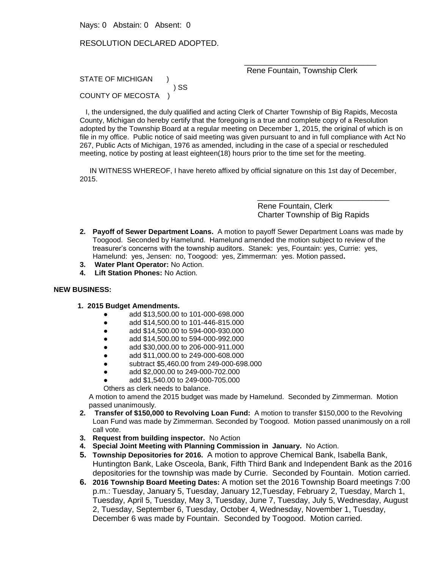Nays: 0 Abstain: 0 Absent: 0

### RESOLUTION DECLARED ADOPTED.

#### \_\_\_\_\_\_\_\_\_\_\_\_\_\_\_\_\_\_\_\_\_\_\_\_\_\_\_\_\_\_ Rene Fountain, Township Clerk

STATE OF MICHIGAN ) SS COUNTY OF MECOSTA )

 I, the undersigned, the duly qualified and acting Clerk of Charter Township of Big Rapids, Mecosta County, Michigan do hereby certify that the foregoing is a true and complete copy of a Resolution adopted by the Township Board at a regular meeting on December 1, 2015, the original of which is on file in my office. Public notice of said meeting was given pursuant to and in full compliance with Act No 267, Public Acts of Michigan, 1976 as amended, including in the case of a special or rescheduled meeting, notice by posting at least eighteen(18) hours prior to the time set for the meeting.

 IN WITNESS WHEREOF, I have hereto affixed by official signature on this 1st day of December, 2015.

> Rene Fountain, Clerk Charter Township of Big Rapids

\_\_\_\_\_\_\_\_\_\_\_\_\_\_\_\_\_\_\_\_\_\_\_\_\_\_\_\_\_\_

- **2. Payoff of Sewer Department Loans.** A motion to payoff Sewer Department Loans was made by Toogood. Seconded by Hamelund. Hamelund amended the motion subject to review of the treasurer's concerns with the township auditors. Stanek: yes, Fountain: yes, Currie: yes, Hamelund: yes, Jensen: no, Toogood: yes, Zimmerman: yes. Motion passed**.**
- **3. Water Plant Operator:** No Action.
- **4. Lift Station Phones:** No Action.

#### **NEW BUSINESS:**

- **1. 2015 Budget Amendments.** 
	- add \$13,500.00 to 101-000-698.000
	- add \$14,500.00 to 101-446-815.000
	- add \$14,500.00 to 594-000-930.000
	- add \$14,500.00 to 594-000-992.000
	- add \$30,000.00 to 206-000-911.000
	- add \$11,000.00 to 249-000-608.000
	- subtract \$5,460.00 from 249-000-698.000
	- add \$2,000.00 to 249-000-702.000
	- add \$1,540.00 to 249-000-705.000
	- Others as clerk needs to balance.

A motion to amend the 2015 budget was made by Hamelund. Seconded by Zimmerman. Motion passed unanimously.

- **2. Transfer of \$150,000 to Revolving Loan Fund:** A motion to transfer \$150,000 to the Revolving Loan Fund was made by Zimmerman. Seconded by Toogood. Motion passed unanimously on a roll call vote.
- **3. Request from building inspector.** No Action
- **4. Special Joint Meeting with Planning Commission in January.** No Action.
- **5. Township Depositories for 2016.** A motion to approve Chemical Bank, Isabella Bank, Huntington Bank, Lake Osceola, Bank, Fifth Third Bank and Independent Bank as the 2016 depositories for the township was made by Currie. Seconded by Fountain. Motion carried.
- **6. 2016 Township Board Meeting Dates:** A motion set the 2016 Township Board meetings 7:00 p.m.: Tuesday, January 5, Tuesday, January 12,Tuesday, February 2, Tuesday, March 1, Tuesday, April 5, Tuesday, May 3, Tuesday, June 7, Tuesday, July 5, Wednesday, August 2, Tuesday, September 6, Tuesday, October 4, Wednesday, November 1, Tuesday, December 6 was made by Fountain. Seconded by Toogood. Motion carried.